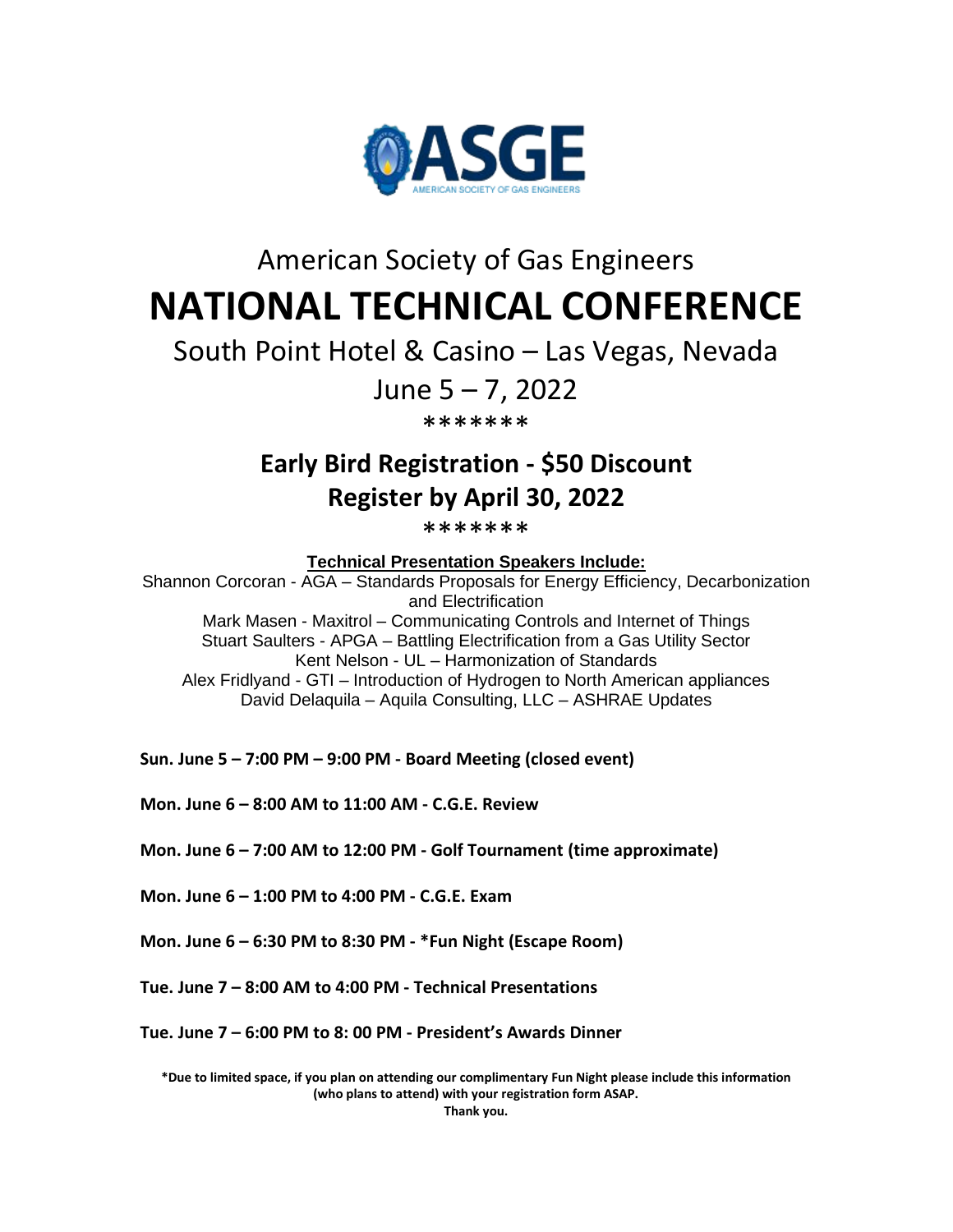

## American Society of Gas Engineers **NATIONAL TECHNICAL CONFERENCE**

South Point Hotel & Casino – Las Vegas, Nevada

## June 5 – 7, 2022

\*\*\*\*\*\*\*

## **Early Bird Registration - \$50 Discount Register by April 30, 2022**

\*\*\*\*\*\*\*

**Technical Presentation Speakers Include:**

Shannon Corcoran - AGA – Standards Proposals for Energy Efficiency, Decarbonization and Electrification Mark Masen - Maxitrol – Communicating Controls and Internet of Things Stuart Saulters - APGA – Battling Electrification from a Gas Utility Sector Kent Nelson - UL – Harmonization of Standards Alex Fridlyand - GTI – Introduction of Hydrogen to North American appliances David Delaquila – Aquila Consulting, LLC – ASHRAE Updates

**Sun. June 5 – 7:00 PM – 9:00 PM - Board Meeting (closed event)**

**Mon. June 6 – 8:00 AM to 11:00 AM - C.G.E. Review**

**Mon. June 6 – 7:00 AM to 12:00 PM - Golf Tournament (time approximate)**

**Mon. June 6 – 1:00 PM to 4:00 PM - C.G.E. Exam**

**Mon. June 6 – 6:30 PM to 8:30 PM - \*Fun Night (Escape Room)**

**Tue. June 7 – 8:00 AM to 4:00 PM - Technical Presentations**

**Tue. June 7 – 6:00 PM to 8: 00 PM - President's Awards Dinner**

**\*Due to limited space, if you plan on attending our complimentary Fun Night please include this information (who plans to attend) with your registration form ASAP.**

**Thank you.**